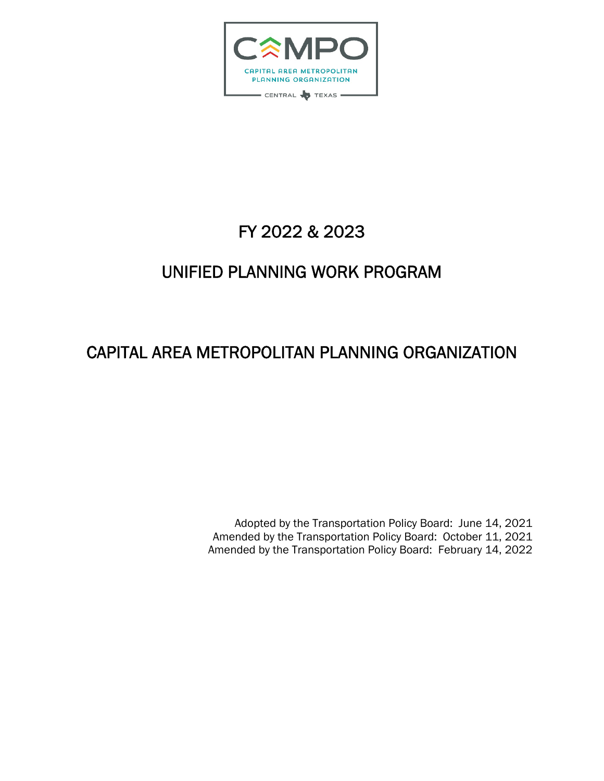

# FY 2022 & 2023

# UNIFIED PLANNING WORK PROGRAM

# CAPITAL AREA METROPOLITAN PLANNING ORGANIZATION

Adopted by the Transportation Policy Board: June 14, 2021 Amended by the Transportation Policy Board: October 11, 2021 Amended by the Transportation Policy Board: February 14, 2022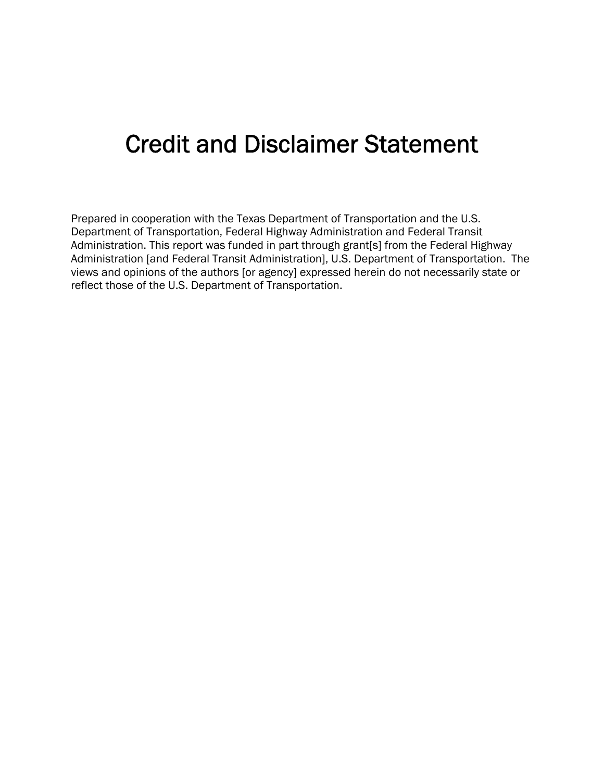# Credit and Disclaimer Statement

Prepared in cooperation with the Texas Department of Transportation and the U.S. Department of Transportation, Federal Highway Administration and Federal Transit Administration. This report was funded in part through grant[s] from the Federal Highway Administration [and Federal Transit Administration], U.S. Department of Transportation. The views and opinions of the authors [or agency] expressed herein do not necessarily state or reflect those of the U.S. Department of Transportation.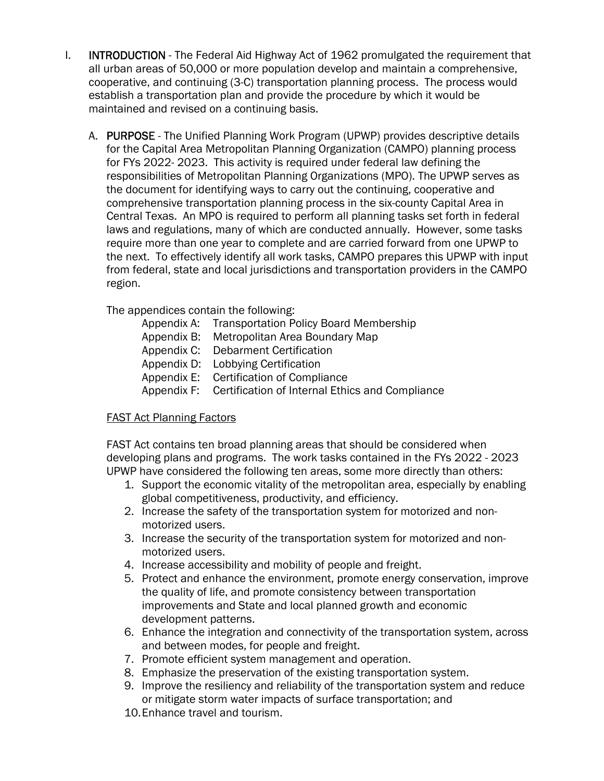- I. **INTRODUCTION** The Federal Aid Highway Act of 1962 promulgated the requirement that all urban areas of 50,000 or more population develop and maintain a comprehensive, cooperative, and continuing (3-C) transportation planning process. The process would establish a transportation plan and provide the procedure by which it would be maintained and revised on a continuing basis.
	- A. PURPOSE The Unified Planning Work Program (UPWP) provides descriptive details for the Capital Area Metropolitan Planning Organization (CAMPO) planning process for FYs 2022- 2023. This activity is required under federal law defining the responsibilities of Metropolitan Planning Organizations (MPO). The UPWP serves as the document for identifying ways to carry out the continuing, cooperative and comprehensive transportation planning process in the six-county Capital Area in Central Texas. An MPO is required to perform all planning tasks set forth in federal laws and regulations, many of which are conducted annually. However, some tasks require more than one year to complete and are carried forward from one UPWP to the next. To effectively identify all work tasks, CAMPO prepares this UPWP with input from federal, state and local jurisdictions and transportation providers in the CAMPO region.

The appendices contain the following:

| Appendix A: Transportation Policy Board Membership          |
|-------------------------------------------------------------|
| Appendix B: Metropolitan Area Boundary Map                  |
| Appendix C: Debarment Certification                         |
| Appendix D: Lobbying Certification                          |
| Appendix E: Certification of Compliance                     |
| Appendix F: Certification of Internal Ethics and Compliance |
|                                                             |

# FAST Act Planning Factors

FAST Act contains ten broad planning areas that should be considered when developing plans and programs. The work tasks contained in the FYs 2022 - 2023 UPWP have considered the following ten areas, some more directly than others:

- 1. Support the economic vitality of the metropolitan area, especially by enabling global competitiveness, productivity, and efficiency.
- 2. Increase the safety of the transportation system for motorized and nonmotorized users.
- 3. Increase the security of the transportation system for motorized and nonmotorized users.
- 4. Increase accessibility and mobility of people and freight.
- 5. Protect and enhance the environment, promote energy conservation, improve the quality of life, and promote consistency between transportation improvements and State and local planned growth and economic development patterns.
- 6. Enhance the integration and connectivity of the transportation system, across and between modes, for people and freight.
- 7. Promote efficient system management and operation.
- 8. Emphasize the preservation of the existing transportation system.
- 9. Improve the resiliency and reliability of the transportation system and reduce or mitigate storm water impacts of surface transportation; and
- 10.Enhance travel and tourism.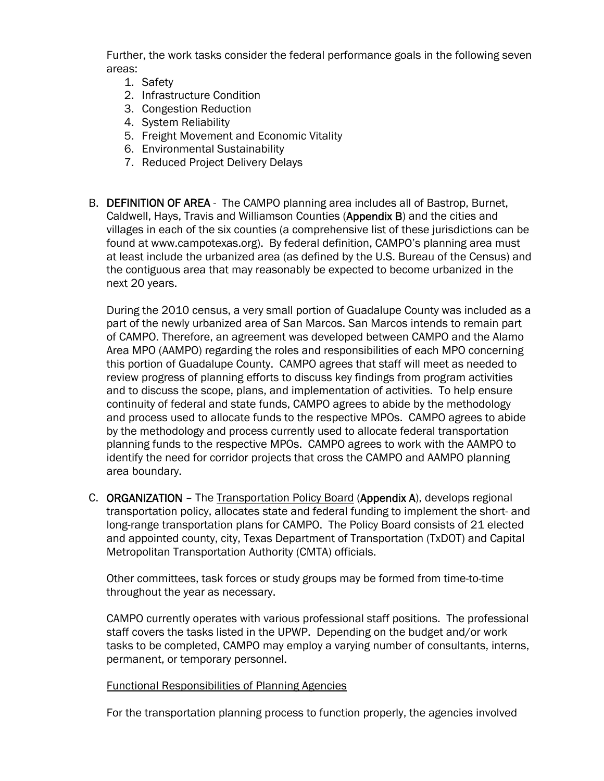Further, the work tasks consider the federal performance goals in the following seven areas:

- 1. Safety
- 2. Infrastructure Condition
- 3. Congestion Reduction
- 4. System Reliability
- 5. Freight Movement and Economic Vitality
- 6. Environmental Sustainability
- 7. Reduced Project Delivery Delays
- B. DEFINITION OF AREA The CAMPO planning area includes all of Bastrop, Burnet, Caldwell, Hays, Travis and Williamson Counties (Appendix B) and the cities and villages in each of the six counties (a comprehensive list of these jurisdictions can be found at www.campotexas.org). By federal definition, CAMPO's planning area must at least include the urbanized area (as defined by the U.S. Bureau of the Census) and the contiguous area that may reasonably be expected to become urbanized in the next 20 years.

During the 2010 census, a very small portion of Guadalupe County was included as a part of the newly urbanized area of San Marcos. San Marcos intends to remain part of CAMPO. Therefore, an agreement was developed between CAMPO and the Alamo Area MPO (AAMPO) regarding the roles and responsibilities of each MPO concerning this portion of Guadalupe County. CAMPO agrees that staff will meet as needed to review progress of planning efforts to discuss key findings from program activities and to discuss the scope, plans, and implementation of activities. To help ensure continuity of federal and state funds, CAMPO agrees to abide by the methodology and process used to allocate funds to the respective MPOs. CAMPO agrees to abide by the methodology and process currently used to allocate federal transportation planning funds to the respective MPOs. CAMPO agrees to work with the AAMPO to identify the need for corridor projects that cross the CAMPO and AAMPO planning area boundary.

C. ORGANIZATION - The Transportation Policy Board (Appendix A), develops regional transportation policy, allocates state and federal funding to implement the short- and long-range transportation plans for CAMPO. The Policy Board consists of 21 elected and appointed county, city, Texas Department of Transportation (TxDOT) and Capital Metropolitan Transportation Authority (CMTA) officials.

Other committees, task forces or study groups may be formed from time-to-time throughout the year as necessary.

CAMPO currently operates with various professional staff positions. The professional staff covers the tasks listed in the UPWP. Depending on the budget and/or work tasks to be completed, CAMPO may employ a varying number of consultants, interns, permanent, or temporary personnel.

#### Functional Responsibilities of Planning Agencies

For the transportation planning process to function properly, the agencies involved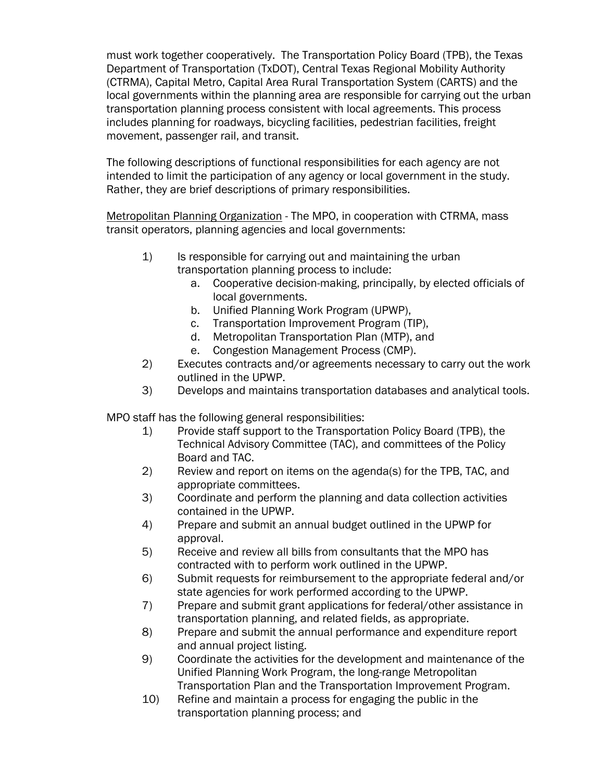must work together cooperatively. The Transportation Policy Board (TPB), the Texas Department of Transportation (TxDOT), Central Texas Regional Mobility Authority (CTRMA), Capital Metro, Capital Area Rural Transportation System (CARTS) and the local governments within the planning area are responsible for carrying out the urban transportation planning process consistent with local agreements. This process includes planning for roadways, bicycling facilities, pedestrian facilities, freight movement, passenger rail, and transit.

The following descriptions of functional responsibilities for each agency are not intended to limit the participation of any agency or local government in the study. Rather, they are brief descriptions of primary responsibilities.

Metropolitan Planning Organization - The MPO, in cooperation with CTRMA, mass transit operators, planning agencies and local governments:

- 1) Is responsible for carrying out and maintaining the urban transportation planning process to include:
	- a. Cooperative decision-making, principally, by elected officials of local governments.
	- b. Unified Planning Work Program (UPWP),
	- c. Transportation Improvement Program (TIP),
	- d. Metropolitan Transportation Plan (MTP), and
	- e. Congestion Management Process (CMP).
- 2) Executes contracts and/or agreements necessary to carry out the work outlined in the UPWP.
- 3) Develops and maintains transportation databases and analytical tools.

MPO staff has the following general responsibilities:

- 1) Provide staff support to the Transportation Policy Board (TPB), the Technical Advisory Committee (TAC), and committees of the Policy Board and TAC.
- 2) Review and report on items on the agenda(s) for the TPB, TAC, and appropriate committees.
- 3) Coordinate and perform the planning and data collection activities contained in the UPWP.
- 4) Prepare and submit an annual budget outlined in the UPWP for approval.
- 5) Receive and review all bills from consultants that the MPO has contracted with to perform work outlined in the UPWP.
- 6) Submit requests for reimbursement to the appropriate federal and/or state agencies for work performed according to the UPWP.
- 7) Prepare and submit grant applications for federal/other assistance in transportation planning, and related fields, as appropriate.
- 8) Prepare and submit the annual performance and expenditure report and annual project listing.
- 9) Coordinate the activities for the development and maintenance of the Unified Planning Work Program, the long-range Metropolitan Transportation Plan and the Transportation Improvement Program.
- 10) Refine and maintain a process for engaging the public in the transportation planning process; and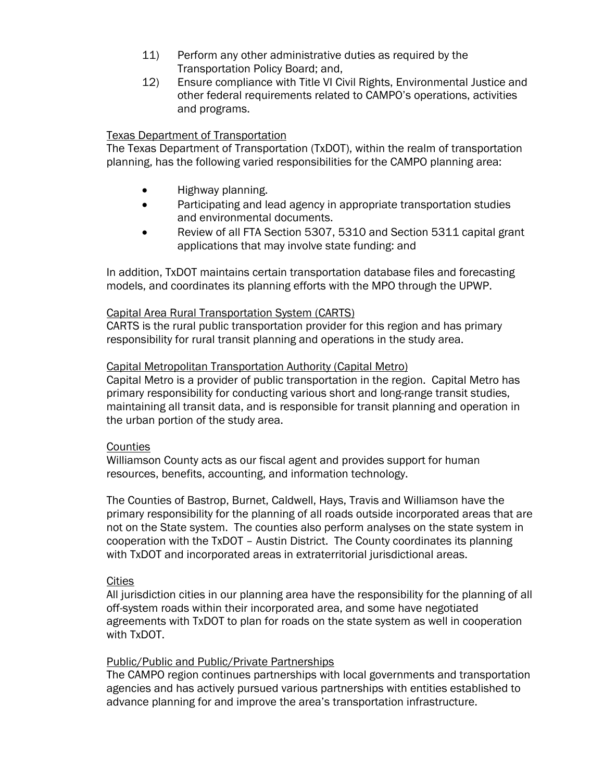- 11) Perform any other administrative duties as required by the Transportation Policy Board; and,
- 12) Ensure compliance with Title VI Civil Rights, Environmental Justice and other federal requirements related to CAMPO's operations, activities and programs.

#### Texas Department of Transportation

The Texas Department of Transportation (TxDOT), within the realm of transportation planning, has the following varied responsibilities for the CAMPO planning area:

- Highway planning.
- Participating and lead agency in appropriate transportation studies and environmental documents.
- Review of all FTA Section 5307, 5310 and Section 5311 capital grant applications that may involve state funding: and

In addition, TxDOT maintains certain transportation database files and forecasting models, and coordinates its planning efforts with the MPO through the UPWP.

#### Capital Area Rural Transportation System (CARTS)

CARTS is the rural public transportation provider for this region and has primary responsibility for rural transit planning and operations in the study area.

#### Capital Metropolitan Transportation Authority (Capital Metro)

Capital Metro is a provider of public transportation in the region. Capital Metro has primary responsibility for conducting various short and long-range transit studies, maintaining all transit data, and is responsible for transit planning and operation in the urban portion of the study area.

#### **Counties**

Williamson County acts as our fiscal agent and provides support for human resources, benefits, accounting, and information technology.

The Counties of Bastrop, Burnet, Caldwell, Hays, Travis and Williamson have the primary responsibility for the planning of all roads outside incorporated areas that are not on the State system. The counties also perform analyses on the state system in cooperation with the TxDOT – Austin District. The County coordinates its planning with TxDOT and incorporated areas in extraterritorial jurisdictional areas.

#### **Cities**

All jurisdiction cities in our planning area have the responsibility for the planning of all off-system roads within their incorporated area, and some have negotiated agreements with TxDOT to plan for roads on the state system as well in cooperation with TxDOT.

#### Public/Public and Public/Private Partnerships

The CAMPO region continues partnerships with local governments and transportation agencies and has actively pursued various partnerships with entities established to advance planning for and improve the area's transportation infrastructure.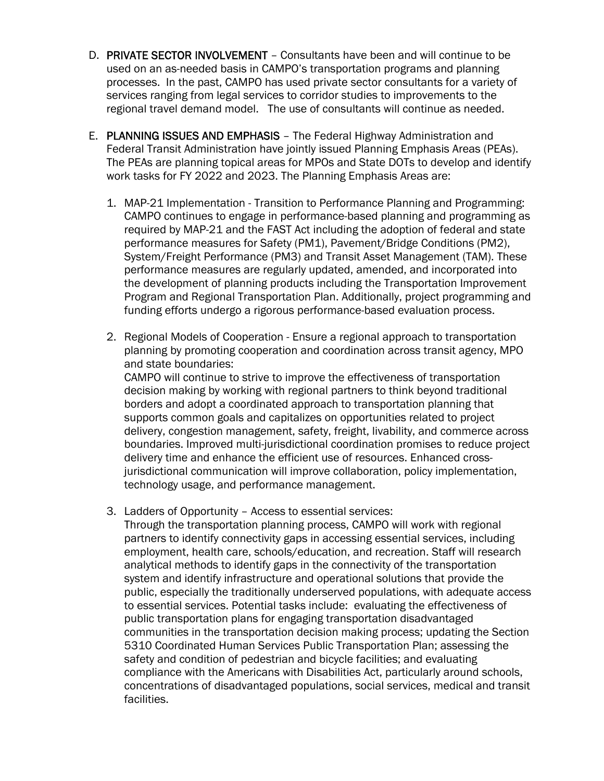- D. PRIVATE SECTOR INVOLVEMENT Consultants have been and will continue to be used on an as-needed basis in CAMPO's transportation programs and planning processes. In the past, CAMPO has used private sector consultants for a variety of services ranging from legal services to corridor studies to improvements to the regional travel demand model. The use of consultants will continue as needed.
- E. PLANNING ISSUES AND EMPHASIS The Federal Highway Administration and Federal Transit Administration have jointly issued Planning Emphasis Areas (PEAs). The PEAs are planning topical areas for MPOs and State DOTs to develop and identify work tasks for FY 2022 and 2023. The Planning Emphasis Areas are:
	- 1. MAP-21 Implementation Transition to Performance Planning and Programming: CAMPO continues to engage in performance-based planning and programming as required by MAP-21 and the FAST Act including the adoption of federal and state performance measures for Safety (PM1), Pavement/Bridge Conditions (PM2), System/Freight Performance (PM3) and Transit Asset Management (TAM). These performance measures are regularly updated, amended, and incorporated into the development of planning products including the Transportation Improvement Program and Regional Transportation Plan. Additionally, project programming and funding efforts undergo a rigorous performance-based evaluation process.
	- 2. Regional Models of Cooperation Ensure a regional approach to transportation planning by promoting cooperation and coordination across transit agency, MPO and state boundaries:

CAMPO will continue to strive to improve the effectiveness of transportation decision making by working with regional partners to think beyond traditional borders and adopt a coordinated approach to transportation planning that supports common goals and capitalizes on opportunities related to project delivery, congestion management, safety, freight, livability, and commerce across boundaries. Improved multi-jurisdictional coordination promises to reduce project delivery time and enhance the efficient use of resources. Enhanced crossjurisdictional communication will improve collaboration, policy implementation, technology usage, and performance management.

3. Ladders of Opportunity – Access to essential services:

Through the transportation planning process, CAMPO will work with regional partners to identify connectivity gaps in accessing essential services, including employment, health care, schools/education, and recreation. Staff will research analytical methods to identify gaps in the connectivity of the transportation system and identify infrastructure and operational solutions that provide the public, especially the traditionally underserved populations, with adequate access to essential services. Potential tasks include: evaluating the effectiveness of public transportation plans for engaging transportation disadvantaged communities in the transportation decision making process; updating the Section 5310 Coordinated Human Services Public Transportation Plan; assessing the safety and condition of pedestrian and bicycle facilities; and evaluating compliance with the Americans with Disabilities Act, particularly around schools, concentrations of disadvantaged populations, social services, medical and transit facilities.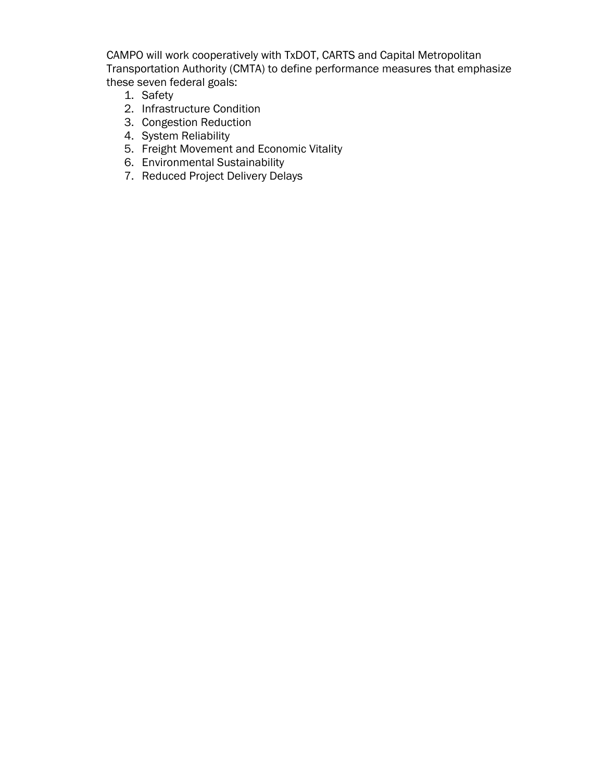CAMPO will work cooperatively with TxDOT, CARTS and Capital Metropolitan Transportation Authority (CMTA) to define performance measures that emphasize these seven federal goals:

- 1. Safety
- 2. Infrastructure Condition
- 3. Congestion Reduction
- 4. System Reliability
- 5. Freight Movement and Economic Vitality
- 6. Environmental Sustainability
- 7. Reduced Project Delivery Delays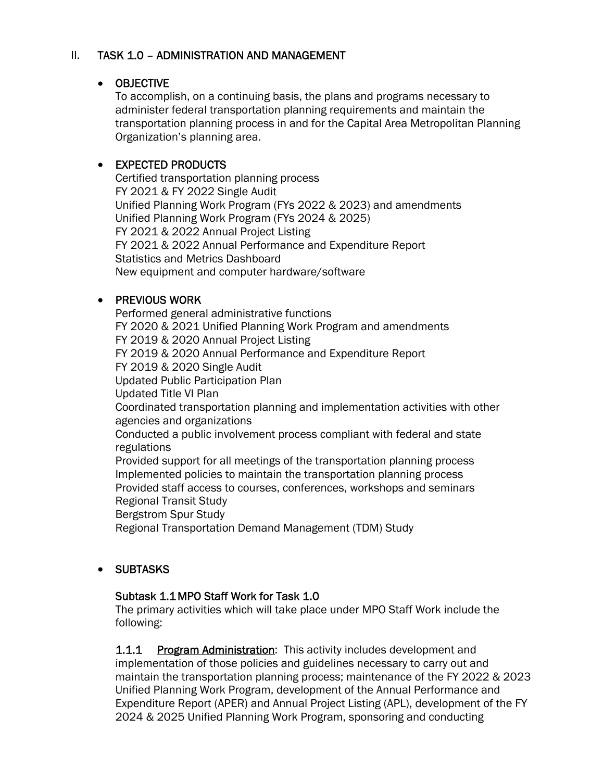## II. TASK 1.0 – ADMINISTRATION AND MANAGEMENT

#### OBJECTIVE

To accomplish, on a continuing basis, the plans and programs necessary to administer federal transportation planning requirements and maintain the transportation planning process in and for the Capital Area Metropolitan Planning Organization's planning area.

## • EXPECTED PRODUCTS

Certified transportation planning process FY 2021 & FY 2022 Single Audit Unified Planning Work Program (FYs 2022 & 2023) and amendments Unified Planning Work Program (FYs 2024 & 2025) FY 2021 & 2022 Annual Project Listing FY 2021 & 2022 Annual Performance and Expenditure Report Statistics and Metrics Dashboard New equipment and computer hardware/software

# **• PREVIOUS WORK**

Performed general administrative functions FY 2020 & 2021 Unified Planning Work Program and amendments FY 2019 & 2020 Annual Project Listing FY 2019 & 2020 Annual Performance and Expenditure Report FY 2019 & 2020 Single Audit Updated Public Participation Plan Updated Title VI Plan Coordinated transportation planning and implementation activities with other agencies and organizations Conducted a public involvement process compliant with federal and state regulations Provided support for all meetings of the transportation planning process Implemented policies to maintain the transportation planning process Provided staff access to courses, conferences, workshops and seminars Regional Transit Study Bergstrom Spur Study Regional Transportation Demand Management (TDM) Study

# SUBTASKS

#### Subtask 1.1 MPO Staff Work for Task 1.0

The primary activities which will take place under MPO Staff Work include the following:

1.1.1 Program Administration: This activity includes development and implementation of those policies and guidelines necessary to carry out and maintain the transportation planning process; maintenance of the FY 2022 & 2023 Unified Planning Work Program, development of the Annual Performance and Expenditure Report (APER) and Annual Project Listing (APL), development of the FY 2024 & 2025 Unified Planning Work Program, sponsoring and conducting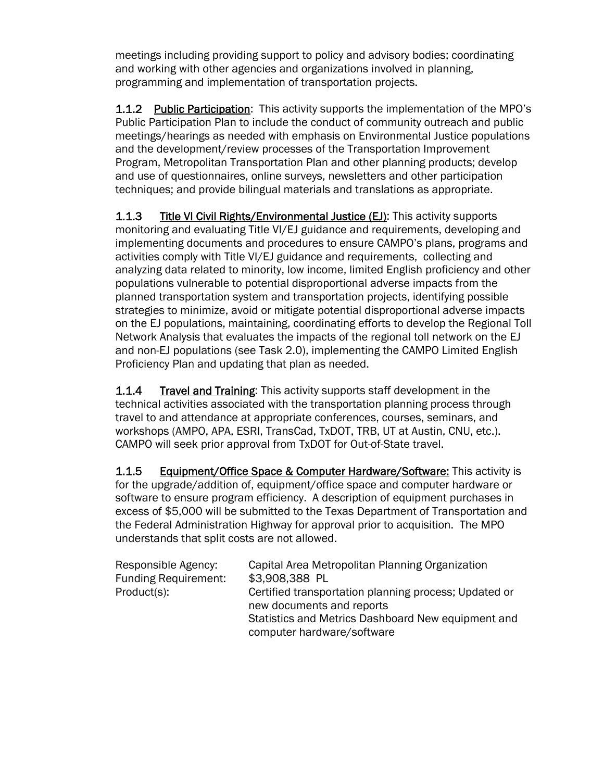meetings including providing support to policy and advisory bodies; coordinating and working with other agencies and organizations involved in planning, programming and implementation of transportation projects.

**1.1.2** Public Participation: This activity supports the implementation of the MPO's Public Participation Plan to include the conduct of community outreach and public meetings/hearings as needed with emphasis on Environmental Justice populations and the development/review processes of the Transportation Improvement Program, Metropolitan Transportation Plan and other planning products; develop and use of questionnaires, online surveys, newsletters and other participation techniques; and provide bilingual materials and translations as appropriate.

1.1.3 Title VI Civil Rights/Environmental Justice (EJ): This activity supports monitoring and evaluating Title VI/EJ guidance and requirements, developing and implementing documents and procedures to ensure CAMPO's plans, programs and activities comply with Title VI/EJ guidance and requirements, collecting and analyzing data related to minority, low income, limited English proficiency and other populations vulnerable to potential disproportional adverse impacts from the planned transportation system and transportation projects, identifying possible strategies to minimize, avoid or mitigate potential disproportional adverse impacts on the EJ populations, maintaining, coordinating efforts to develop the Regional Toll Network Analysis that evaluates the impacts of the regional toll network on the EJ and non-EJ populations (see Task 2.0), implementing the CAMPO Limited English Proficiency Plan and updating that plan as needed.

**1.1.4** Travel and Training: This activity supports staff development in the technical activities associated with the transportation planning process through travel to and attendance at appropriate conferences, courses, seminars, and workshops (AMPO, APA, ESRI, TransCad, TxDOT, TRB, UT at Austin, CNU, etc.). CAMPO will seek prior approval from TxDOT for Out-of-State travel.

1.1.5 Equipment/Office Space & Computer Hardware/Software: This activity is for the upgrade/addition of, equipment/office space and computer hardware or software to ensure program efficiency. A description of equipment purchases in excess of \$5,000 will be submitted to the Texas Department of Transportation and the Federal Administration Highway for approval prior to acquisition. The MPO understands that split costs are not allowed.

| Responsible Agency:<br><b>Funding Requirement:</b> | Capital Area Metropolitan Planning Organization<br>\$3,908,388 PL                  |
|----------------------------------------------------|------------------------------------------------------------------------------------|
| Product(s):                                        | Certified transportation planning process; Updated or<br>new documents and reports |
|                                                    | Statistics and Metrics Dashboard New equipment and<br>computer hardware/software   |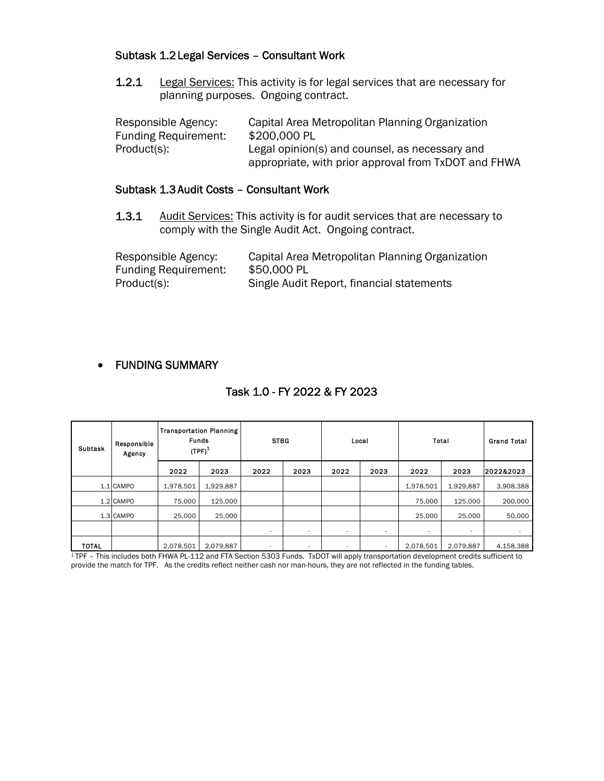#### Subtask 1.2 Legal Services – Consultant Work

1.2.1 Legal Services: This activity is for legal services that are necessary for planning purposes. Ongoing contract.

| Responsible Agency:         | Capital Area Metropolitan Planning Organization      |
|-----------------------------|------------------------------------------------------|
| <b>Funding Requirement:</b> | \$200,000 PL                                         |
| Product(s):                 | Legal opinion(s) and counsel, as necessary and       |
|                             | appropriate, with prior approval from TxDOT and FHWA |

#### Subtask 1.3 Audit Costs – Consultant Work

1.3.1 Audit Services: This activity is for audit services that are necessary to comply with the Single Audit Act. Ongoing contract.

Responsible Agency: Capital Area Metropolitan Planning Organization Funding Requirement: \$50,000 PL Product(s): Single Audit Report, financial statements

# FUNDING SUMMARY

# Task 1.0 - FY 2022 & FY 2023

| <b>Subtask</b> | <b>Transportation Planning</b><br><b>Funds</b><br>Responsible<br>$(TPF)^1$<br>Agency |           | <b>STBG</b> |                          | Local                    |                          | <b>Total</b>             |                          | <b>Grand Total</b>       |           |
|----------------|--------------------------------------------------------------------------------------|-----------|-------------|--------------------------|--------------------------|--------------------------|--------------------------|--------------------------|--------------------------|-----------|
|                |                                                                                      | 2022      | 2023        | 2022                     | 2023                     | 2022                     | 2023                     | 2022                     | 2023                     | 2022&2023 |
|                | 1.1 CAMPO                                                                            | 1,978,501 | 1,929,887   |                          |                          |                          |                          | 1,978,501                | 1,929,887                | 3,908,388 |
|                | 1.2 CAMPO                                                                            | 75,000    | 125,000     |                          |                          |                          |                          | 75,000                   | 125,000                  | 200,000   |
|                | 1.3 CAMPO                                                                            | 25,000    | 25.000      |                          |                          |                          |                          | 25,000                   | 25,000                   | 50,000    |
|                |                                                                                      |           |             | $\sim$                   | $\overline{\phantom{a}}$ | $\overline{\phantom{a}}$ | $\overline{\phantom{a}}$ | $\overline{\phantom{a}}$ | $\overline{\phantom{a}}$ |           |
| <b>TOTAL</b>   |                                                                                      | 2,078,501 | 2,079,887   | $\overline{\phantom{a}}$ | $\sim$                   | $\overline{\phantom{a}}$ |                          | 2,078,501                | 2,079,887                | 4,158,388 |

1 TPF – This includes both FHWA PL-112 and FTA Section 5303 Funds. TxDOT will apply transportation development credits sufficient to provide the match for TPF. As the credits reflect neither cash nor man-hours, they are not reflected in the funding tables.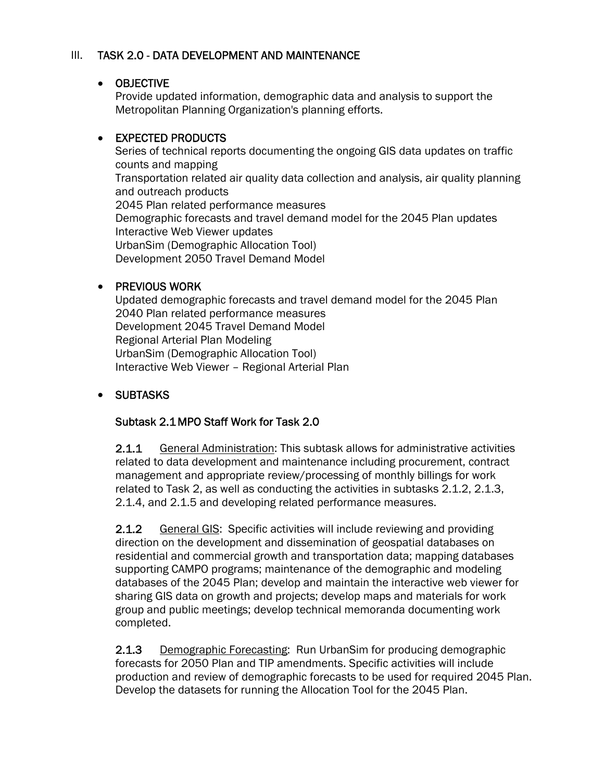## III. TASK 2.0 - DATA DEVELOPMENT AND MAINTENANCE

#### OBJECTIVE

Provide updated information, demographic data and analysis to support the Metropolitan Planning Organization's planning efforts.

# • EXPECTED PRODUCTS

Series of technical reports documenting the ongoing GIS data updates on traffic counts and mapping Transportation related air quality data collection and analysis, air quality planning and outreach products 2045 Plan related performance measures Demographic forecasts and travel demand model for the 2045 Plan updates Interactive Web Viewer updates UrbanSim (Demographic Allocation Tool) Development 2050 Travel Demand Model

# • PREVIOUS WORK

Updated demographic forecasts and travel demand model for the 2045 Plan 2040 Plan related performance measures Development 2045 Travel Demand Model Regional Arterial Plan Modeling UrbanSim (Demographic Allocation Tool) Interactive Web Viewer – Regional Arterial Plan

# • SUBTASKS

# Subtask 2.1 MPO Staff Work for Task 2.0

2.1.1 General Administration: This subtask allows for administrative activities related to data development and maintenance including procurement, contract management and appropriate review/processing of monthly billings for work related to Task 2, as well as conducting the activities in subtasks 2.1.2, 2.1.3, 2.1.4, and 2.1.5 and developing related performance measures.

2.1.2 General GIS: Specific activities will include reviewing and providing direction on the development and dissemination of geospatial databases on residential and commercial growth and transportation data; mapping databases supporting CAMPO programs; maintenance of the demographic and modeling databases of the 2045 Plan; develop and maintain the interactive web viewer for sharing GIS data on growth and projects; develop maps and materials for work group and public meetings; develop technical memoranda documenting work completed.

2.1.3 Demographic Forecasting: Run UrbanSim for producing demographic forecasts for 2050 Plan and TIP amendments. Specific activities will include production and review of demographic forecasts to be used for required 2045 Plan. Develop the datasets for running the Allocation Tool for the 2045 Plan.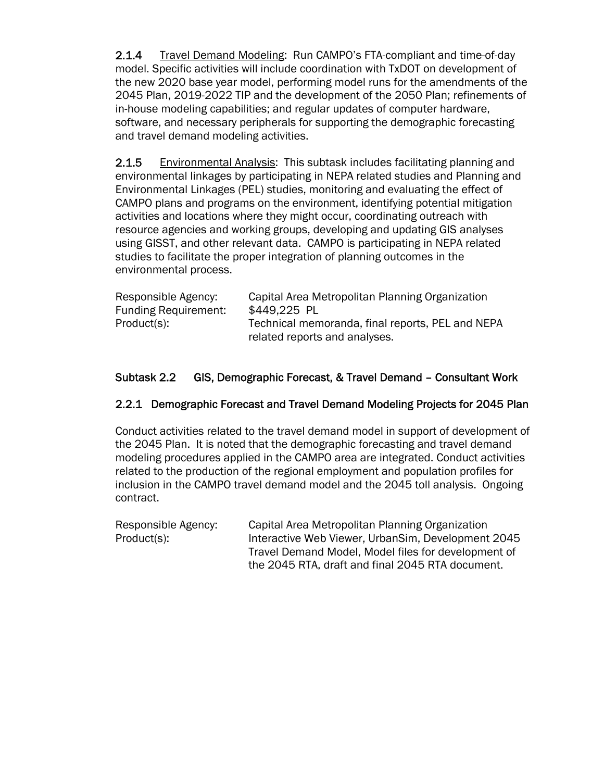2.1.4 Travel Demand Modeling: Run CAMPO's FTA-compliant and time-of-day model. Specific activities will include coordination with TxDOT on development of the new 2020 base year model, performing model runs for the amendments of the 2045 Plan, 2019-2022 TIP and the development of the 2050 Plan; refinements of in-house modeling capabilities; and regular updates of computer hardware, software, and necessary peripherals for supporting the demographic forecasting and travel demand modeling activities.

2.1.5 Environmental Analysis: This subtask includes facilitating planning and environmental linkages by participating in NEPA related studies and Planning and Environmental Linkages (PEL) studies, monitoring and evaluating the effect of CAMPO plans and programs on the environment, identifying potential mitigation activities and locations where they might occur, coordinating outreach with resource agencies and working groups, developing and updating GIS analyses using GISST, and other relevant data. CAMPO is participating in NEPA related studies to facilitate the proper integration of planning outcomes in the environmental process.

| Responsible Agency:         | Capital Area Metropolitan Planning Organization                                   |
|-----------------------------|-----------------------------------------------------------------------------------|
| <b>Funding Requirement:</b> | \$449,225 PL                                                                      |
| Product(s):                 | Technical memoranda, final reports, PEL and NEPA<br>related reports and analyses. |

# Subtask 2.2 GIS, Demographic Forecast, & Travel Demand – Consultant Work

#### 2.2.1 Demographic Forecast and Travel Demand Modeling Projects for 2045 Plan

Conduct activities related to the travel demand model in support of development of the 2045 Plan. It is noted that the demographic forecasting and travel demand modeling procedures applied in the CAMPO area are integrated. Conduct activities related to the production of the regional employment and population profiles for inclusion in the CAMPO travel demand model and the 2045 toll analysis. Ongoing contract.

Responsible Agency: Capital Area Metropolitan Planning Organization Product(s): Interactive Web Viewer, UrbanSim, Development 2045 Travel Demand Model, Model files for development of the 2045 RTA, draft and final 2045 RTA document.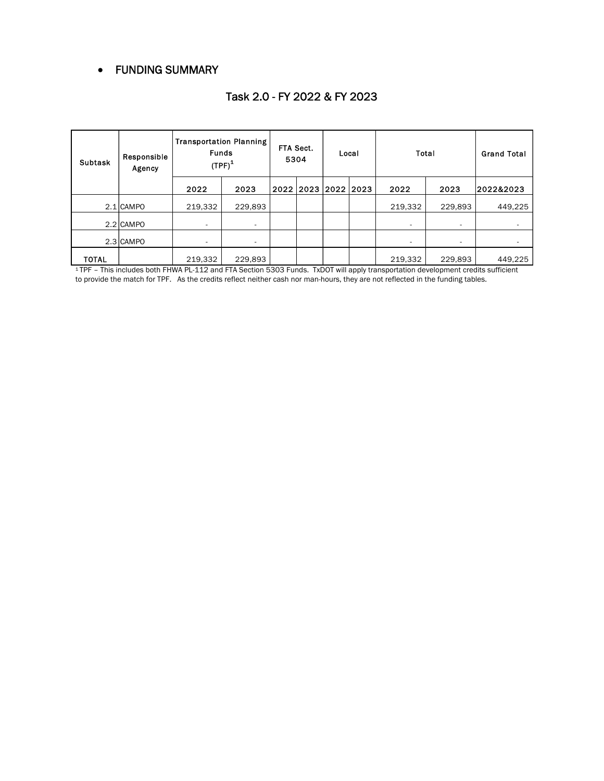#### FUNDING SUMMARY

| <b>Subtask</b> | Responsible<br>Agency                                                                                                                        | <b>Transportation Planning</b><br><b>Funds</b><br>$(TPF)^1$ |         | FTA Sect.<br>5304 |  | Local               |  | Total   |         | <b>Grand Total</b> |
|----------------|----------------------------------------------------------------------------------------------------------------------------------------------|-------------------------------------------------------------|---------|-------------------|--|---------------------|--|---------|---------|--------------------|
|                |                                                                                                                                              | 2022                                                        | 2023    |                   |  | 2022 2023 2022 2023 |  | 2022    | 2023    | 2022&2023          |
|                | 2.1 CAMPO                                                                                                                                    | 219.332                                                     | 229.893 |                   |  |                     |  | 219.332 | 229.893 | 449.225            |
|                | 2.2 CAMPO                                                                                                                                    |                                                             |         |                   |  |                     |  |         |         |                    |
|                | 2.3 CAMPO                                                                                                                                    |                                                             |         |                   |  |                     |  |         |         |                    |
| <b>TOTAL</b>   |                                                                                                                                              | 219.332                                                     | 229.893 |                   |  |                     |  | 219,332 | 229.893 | 449,225            |
|                | <sup>1</sup> TPF - This includes both FHWA PL-112 and FTA Section 5303 Funds. TxDOT will apply transportation development credits sufficient |                                                             |         |                   |  |                     |  |         |         |                    |

# Task 2.0 - FY 2022 & FY 2023

to provide the match for TPF. As the credits reflect neither cash nor man-hours, they are not reflected in the funding tables.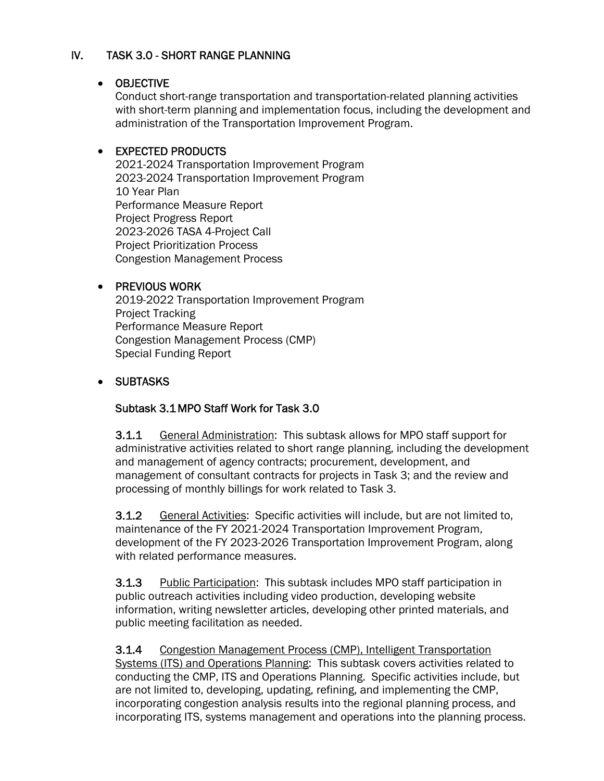# IV. TASK 3.0 - SHORT RANGE PLANNING

#### OBJECTIVE

Conduct short-range transportation and transportation-related planning activities with short-term planning and implementation focus, including the development and administration of the Transportation Improvement Program.

#### EXPECTED PRODUCTS

2021-2024 Transportation Improvement Program 2023-2024 Transportation Improvement Program 10 Year Plan Performance Measure Report Project Progress Report 2023-2026 TASA 4-Project Call Project Prioritization Process Congestion Management Process

#### • PREVIOUS WORK

2019-2022 Transportation Improvement Program Project Tracking Performance Measure Report Congestion Management Process (CMP) Special Funding Report

# SUBTASKS

#### Subtask 3.1 MPO Staff Work for Task 3.0

**3.1.1** General Administration: This subtask allows for MPO staff support for administrative activities related to short range planning, including the development and management of agency contracts; procurement, development, and management of consultant contracts for projects in Task 3; and the review and processing of monthly billings for work related to Task 3.

3.1.2 General Activities: Specific activities will include, but are not limited to, maintenance of the FY 2021-2024 Transportation Improvement Program, development of the FY 2023-2026 Transportation Improvement Program, along with related performance measures.

3.1.3 Public Participation: This subtask includes MPO staff participation in public outreach activities including video production, developing website information, writing newsletter articles, developing other printed materials, and public meeting facilitation as needed.

3.1.4 Congestion Management Process (CMP), Intelligent Transportation Systems (ITS) and Operations Planning: This subtask covers activities related to conducting the CMP, ITS and Operations Planning. Specific activities include, but are not limited to, developing, updating, refining, and implementing the CMP, incorporating congestion analysis results into the regional planning process, and incorporating ITS, systems management and operations into the planning process.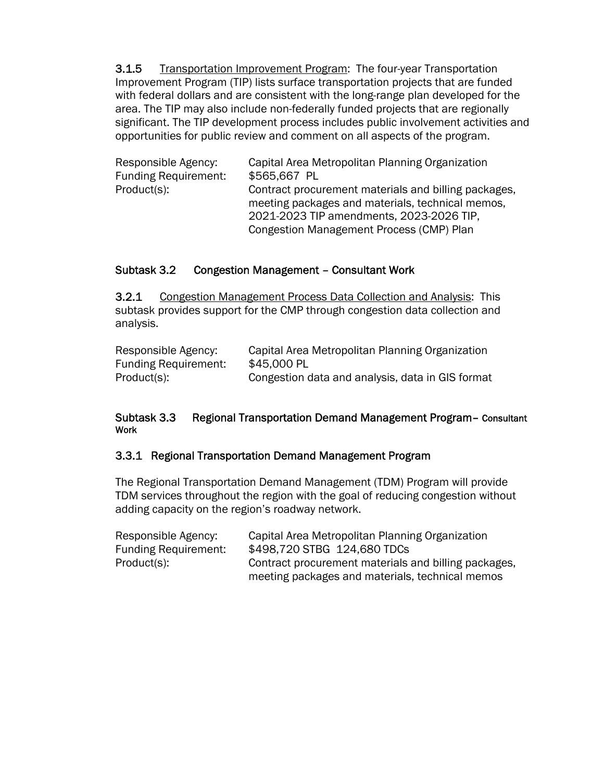**3.1.5** Transportation Improvement Program: The four-year Transportation Improvement Program (TIP) lists surface transportation projects that are funded with federal dollars and are consistent with the long-range plan developed for the area. The TIP may also include non-federally funded projects that are regionally significant. The TIP development process includes public involvement activities and opportunities for public review and comment on all aspects of the program.

| Responsible Agency:         | Capital Area Metropolitan Planning Organization                                                          |
|-----------------------------|----------------------------------------------------------------------------------------------------------|
| <b>Funding Requirement:</b> | \$565,667 PL                                                                                             |
| Product(s):                 | Contract procurement materials and billing packages,<br>meeting packages and materials, technical memos, |
|                             | 2021-2023 TIP amendments, 2023-2026 TIP,                                                                 |
|                             | Congestion Management Process (CMP) Plan                                                                 |

#### Subtask 3.2 Congestion Management – Consultant Work

3.2.1 Congestion Management Process Data Collection and Analysis: This subtask provides support for the CMP through congestion data collection and analysis.

| Responsible Agency:         | Capital Area Metropolitan Planning Organization  |
|-----------------------------|--------------------------------------------------|
| <b>Funding Requirement:</b> | \$45,000 PL                                      |
| Product(s):                 | Congestion data and analysis, data in GIS format |

#### Subtask 3.3 Regional Transportation Demand Management Program– Consultant Work

#### 3.3.1 Regional Transportation Demand Management Program

The Regional Transportation Demand Management (TDM) Program will provide TDM services throughout the region with the goal of reducing congestion without adding capacity on the region's roadway network.

| Responsible Agency:         | Capital Area Metropolitan Planning Organization      |
|-----------------------------|------------------------------------------------------|
| <b>Funding Requirement:</b> | \$498,720 STBG 124,680 TDCs                          |
| Product(s):                 | Contract procurement materials and billing packages, |
|                             | meeting packages and materials, technical memos      |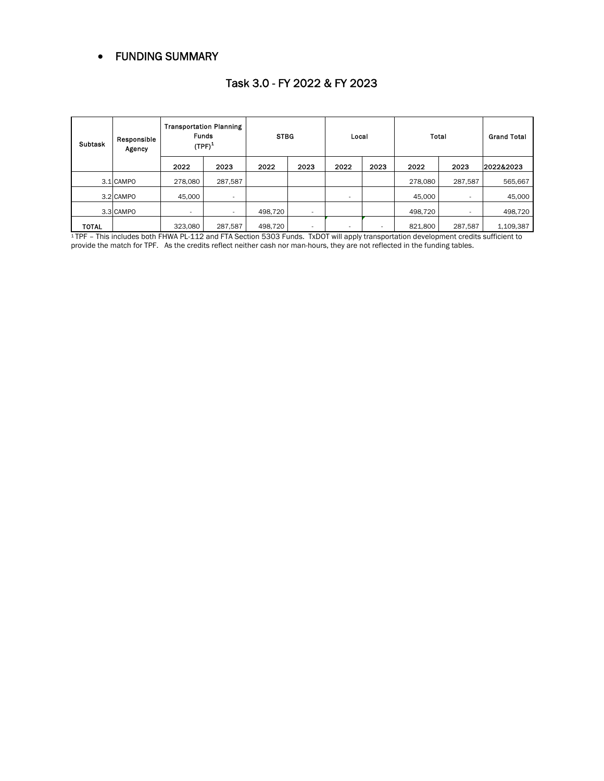#### FUNDING SUMMARY

| <b>Subtask</b> | Responsible<br>Agency |                | <b>Transportation Planning</b><br><b>Funds</b><br>$(TPF)^1$ | <b>STBG</b> |                          | Local |      | Total   |         | <b>Grand Total</b> |
|----------------|-----------------------|----------------|-------------------------------------------------------------|-------------|--------------------------|-------|------|---------|---------|--------------------|
|                |                       | 2022           | 2023                                                        | 2022        | 2023                     | 2022  | 2023 | 2022    | 2023    | 2022&2023          |
|                | 3.1 CAMPO             | 278.080        | 287,587                                                     |             |                          |       |      | 278,080 | 287,587 | 565,667            |
|                | 3.2 CAMPO             | 45,000         | $\sim$                                                      |             |                          |       |      | 45,000  |         | 45,000             |
|                | 3.3 CAMPO             | $\overline{a}$ | $\sim$                                                      | 498,720     | $\overline{\phantom{a}}$ |       |      | 498,720 |         | 498,720            |
| <b>TOTAL</b>   |                       | 323,080        | 287,587                                                     | 498,720     |                          |       |      | 821,800 | 287,587 | 1,109,387          |

#### Task 3.0 - FY 2022 & FY 2023

1 TPF – This includes both FHWA PL-112 and FTA Section 5303 Funds. TxDOT will apply transportation development credits sufficient to provide the match for TPF. As the credits reflect neither cash nor man-hours, they are not reflected in the funding tables.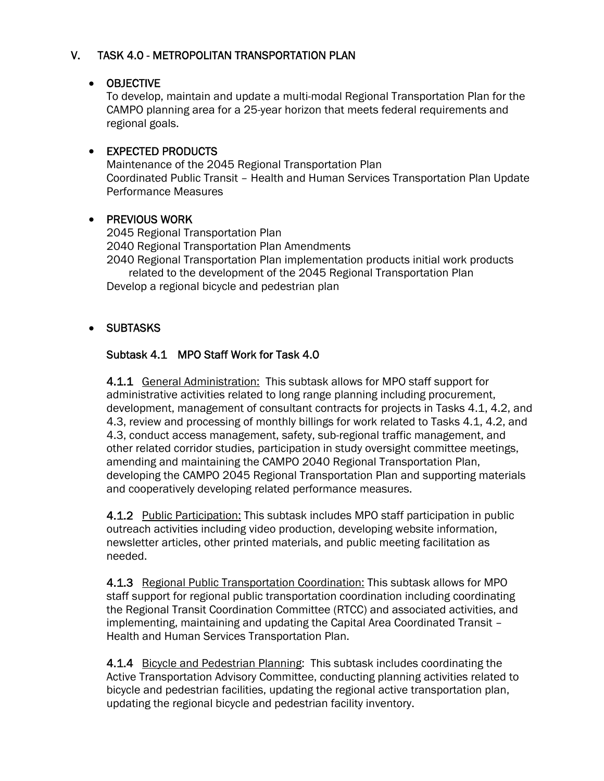# V. TASK 4.0 - METROPOLITAN TRANSPORTATION PLAN

#### OBJECTIVE

To develop, maintain and update a multi-modal Regional Transportation Plan for the CAMPO planning area for a 25-year horizon that meets federal requirements and regional goals.

#### • EXPECTED PRODUCTS

Maintenance of the 2045 Regional Transportation Plan Coordinated Public Transit – Health and Human Services Transportation Plan Update Performance Measures

#### • PREVIOUS WORK

2045 Regional Transportation Plan 2040 Regional Transportation Plan Amendments 2040 Regional Transportation Plan implementation products initial work products related to the development of the 2045 Regional Transportation Plan Develop a regional bicycle and pedestrian plan

# **• SUBTASKS**

# Subtask 4.1 MPO Staff Work for Task 4.0

 4.1.1 General Administration: This subtask allows for MPO staff support for administrative activities related to long range planning including procurement, development, management of consultant contracts for projects in Tasks 4.1, 4.2, and 4.3, review and processing of monthly billings for work related to Tasks 4.1, 4.2, and 4.3, conduct access management, safety, sub-regional traffic management, and other related corridor studies, participation in study oversight committee meetings, amending and maintaining the CAMPO 2040 Regional Transportation Plan, developing the CAMPO 2045 Regional Transportation Plan and supporting materials and cooperatively developing related performance measures.

4.1.2 Public Participation: This subtask includes MPO staff participation in public outreach activities including video production, developing website information, newsletter articles, other printed materials, and public meeting facilitation as needed.

 4.1.3 Regional Public Transportation Coordination: This subtask allows for MPO staff support for regional public transportation coordination including coordinating the Regional Transit Coordination Committee (RTCC) and associated activities, and implementing, maintaining and updating the Capital Area Coordinated Transit – Health and Human Services Transportation Plan.

 4.1.4 Bicycle and Pedestrian Planning: This subtask includes coordinating the Active Transportation Advisory Committee, conducting planning activities related to bicycle and pedestrian facilities, updating the regional active transportation plan, updating the regional bicycle and pedestrian facility inventory.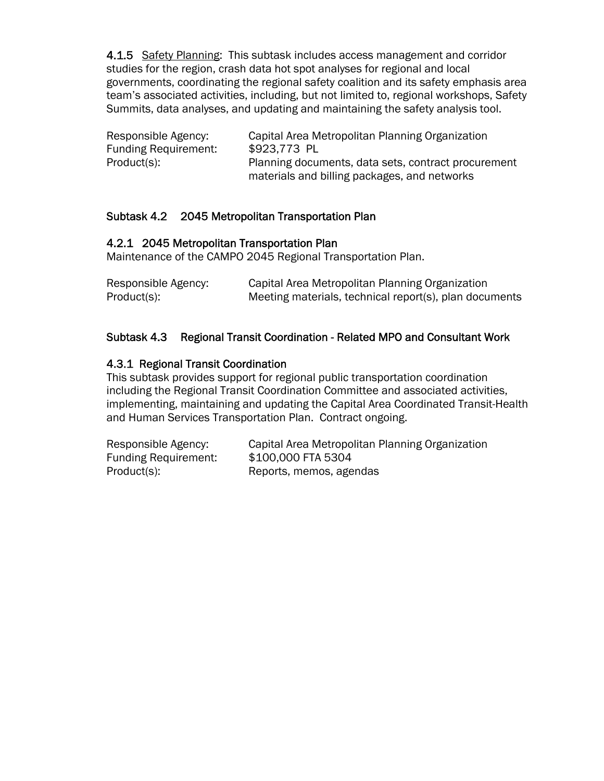4.1.5 Safety Planning: This subtask includes access management and corridor studies for the region, crash data hot spot analyses for regional and local governments, coordinating the regional safety coalition and its safety emphasis area team's associated activities, including, but not limited to, regional workshops, Safety Summits, data analyses, and updating and maintaining the safety analysis tool.

| Responsible Agency:         |              | Capital Area Metropolitan Planning Organization     |
|-----------------------------|--------------|-----------------------------------------------------|
| <b>Funding Requirement:</b> | \$923,773 PL |                                                     |
| Product(s):                 |              | Planning documents, data sets, contract procurement |
|                             |              | materials and billing packages, and networks        |

#### Subtask 4.2 2045 Metropolitan Transportation Plan

#### 4.2.1 2045 Metropolitan Transportation Plan

Maintenance of the CAMPO 2045 Regional Transportation Plan.

| Responsible Agency: | Capital Area Metropolitan Planning Organization        |
|---------------------|--------------------------------------------------------|
| Product(s):         | Meeting materials, technical report(s), plan documents |

#### Subtask 4.3 Regional Transit Coordination - Related MPO and Consultant Work

#### 4.3.1 Regional Transit Coordination

This subtask provides support for regional public transportation coordination including the Regional Transit Coordination Committee and associated activities, implementing, maintaining and updating the Capital Area Coordinated Transit-Health and Human Services Transportation Plan. Contract ongoing.

| Responsible Agency:         | Capital Area Metropolitan Planning Organization |
|-----------------------------|-------------------------------------------------|
| <b>Funding Requirement:</b> | \$100,000 FTA 5304                              |
| Product(s):                 | Reports, memos, agendas                         |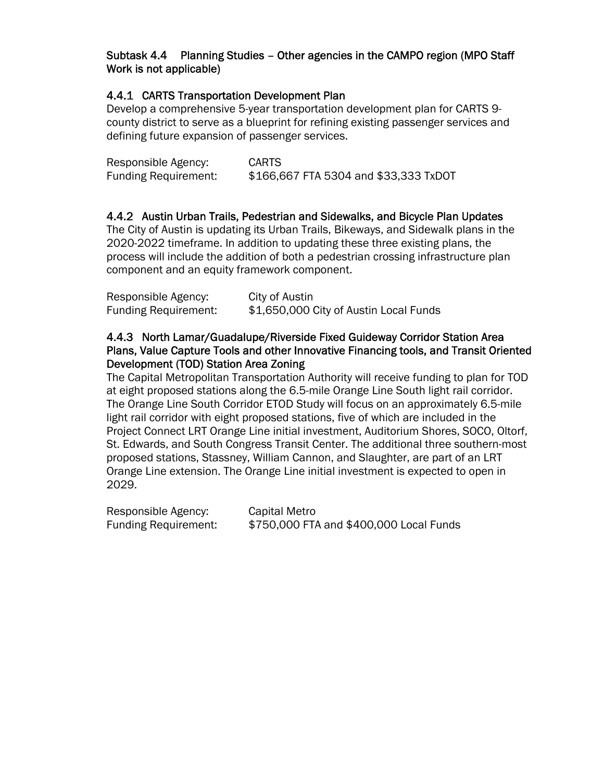#### Subtask 4.4 Planning Studies – Other agencies in the CAMPO region (MPO Staff Work is not applicable)

## 4.4.1 CARTS Transportation Development Plan

Develop a comprehensive 5-year transportation development plan for CARTS 9 county district to serve as a blueprint for refining existing passenger services and defining future expansion of passenger services.

| Responsible Agency:         | <b>CARTS</b>                          |
|-----------------------------|---------------------------------------|
| <b>Funding Requirement:</b> | \$166,667 FTA 5304 and \$33,333 TxDOT |

#### 4.4.2 Austin Urban Trails, Pedestrian and Sidewalks, and Bicycle Plan Updates

The City of Austin is updating its Urban Trails, Bikeways, and Sidewalk plans in the 2020-2022 timeframe. In addition to updating these three existing plans, the process will include the addition of both a pedestrian crossing infrastructure plan component and an equity framework component.

| Responsible Agency:         | City of Austin                         |
|-----------------------------|----------------------------------------|
| <b>Funding Requirement:</b> | \$1,650,000 City of Austin Local Funds |

#### 4.4.3 North Lamar/Guadalupe/Riverside Fixed Guideway Corridor Station Area Plans, Value Capture Tools and other Innovative Financing tools, and Transit Oriented Development (TOD) Station Area Zoning

The Capital Metropolitan Transportation Authority will receive funding to plan for TOD at eight proposed stations along the 6.5-mile Orange Line South light rail corridor. The Orange Line South Corridor ETOD Study will focus on an approximately 6.5-mile light rail corridor with eight proposed stations, five of which are included in the Project Connect LRT Orange Line initial investment, Auditorium Shores, SOCO, Oltorf, St. Edwards, and South Congress Transit Center. The additional three southern-most proposed stations, Stassney, William Cannon, and Slaughter, are part of an LRT Orange Line extension. The Orange Line initial investment is expected to open in 2029.

| Responsible Agency:         | Capital Metro                           |
|-----------------------------|-----------------------------------------|
| <b>Funding Requirement:</b> | \$750,000 FTA and \$400,000 Local Funds |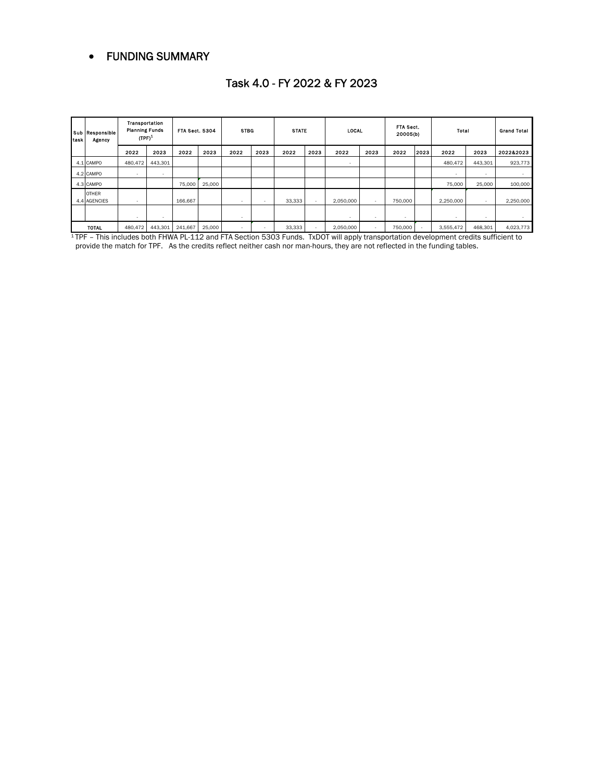#### FUNDING SUMMARY

| task | Sub Responsible<br>Agency    | Transportation<br><b>Planning Funds</b><br>$(TPF)^2$ |                          | <b>FTA Sect. 5304</b> |        | <b>STBG</b> |        | <b>STATE</b> |      | <b>LOCAL</b>             |                          | FTA Sect.<br>20005(b)    |      | Total                    |         | <b>Grand Total</b> |
|------|------------------------------|------------------------------------------------------|--------------------------|-----------------------|--------|-------------|--------|--------------|------|--------------------------|--------------------------|--------------------------|------|--------------------------|---------|--------------------|
|      |                              | 2022                                                 | 2023                     | 2022                  | 2023   | 2022        | 2023   | 2022         | 2023 | 2022                     | 2023                     | 2022                     | 2023 | 2022                     | 2023    | 2022&2023          |
|      | 4.1 CAMPO                    | 480,472                                              | 443.301                  |                       |        |             |        |              |      | $\overline{\phantom{a}}$ |                          |                          |      | 480.472                  | 443,301 | 923,773            |
|      | 4.2 CAMPO                    | $\overline{\phantom{a}}$                             | $\sim$                   |                       |        |             |        |              |      |                          |                          |                          |      | $\overline{\phantom{a}}$ |         |                    |
|      | 4.3 CAMPO                    |                                                      |                          | 75,000                | 25,000 |             |        |              |      |                          |                          |                          |      | 75,000                   | 25,000  | 100,000            |
|      | <b>OTHER</b><br>4.4 AGENCIES | $\overline{\phantom{a}}$                             |                          | 166,667               |        | <b>.</b>    |        | 33,333       |      | 2.050.000                | $\overline{\phantom{a}}$ | 750,000                  |      | 2,250,000                | ۰.      | 2,250,000          |
|      |                              | $\sim$                                               | $\overline{\phantom{a}}$ |                       |        | <b>.</b>    |        |              |      | $\overline{\phantom{a}}$ | $\sim$                   | $\overline{\phantom{a}}$ |      | $\sim$                   | $\sim$  |                    |
|      | <b>TOTAL</b>                 | 480,472                                              | 443,301                  | 241,667               | 25,000 | $\sim$      | $\sim$ | 33,333       |      | 2,050,000                | $\sim$                   | 750,000                  |      | 3,555,472                | 468,301 | 4,023,773          |

#### Task 4.0 - FY 2022 & FY 2023

 1 TPF – This includes both FHWA PL-112 and FTA Section 5303 Funds. TxDOT will apply transportation development credits sufficient to provide the match for TPF. As the credits reflect neither cash nor man-hours, they are not reflected in the funding tables.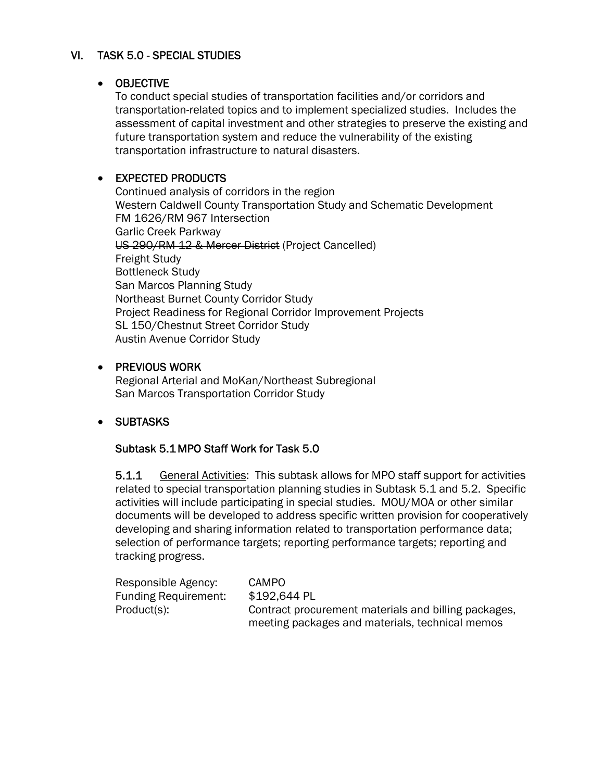# VI. TASK 5.0 - SPECIAL STUDIES

#### OBJECTIVE

To conduct special studies of transportation facilities and/or corridors and transportation-related topics and to implement specialized studies. Includes the assessment of capital investment and other strategies to preserve the existing and future transportation system and reduce the vulnerability of the existing transportation infrastructure to natural disasters.

# • EXPECTED PRODUCTS

 Continued analysis of corridors in the region Western Caldwell County Transportation Study and Schematic Development FM 1626/RM 967 Intersection Garlic Creek Parkway US 290/RM 12 & Mercer District (Project Cancelled) Freight Study Bottleneck Study San Marcos Planning Study Northeast Burnet County Corridor Study Project Readiness for Regional Corridor Improvement Projects SL 150/Chestnut Street Corridor Study Austin Avenue Corridor Study

#### **• PREVIOUS WORK**

Regional Arterial and MoKan/Northeast Subregional San Marcos Transportation Corridor Study

# SUBTASKS

#### Subtask 5.1 MPO Staff Work for Task 5.0

5.1.1 General Activities: This subtask allows for MPO staff support for activities related to special transportation planning studies in Subtask 5.1 and 5.2. Specific activities will include participating in special studies. MOU/MOA or other similar documents will be developed to address specific written provision for cooperatively developing and sharing information related to transportation performance data; selection of performance targets; reporting performance targets; reporting and tracking progress.

| Responsible Agency:         | CAMPO                                                |
|-----------------------------|------------------------------------------------------|
| <b>Funding Requirement:</b> | \$192,644 PL                                         |
| Product(s):                 | Contract procurement materials and billing packages, |
|                             | meeting packages and materials, technical memos      |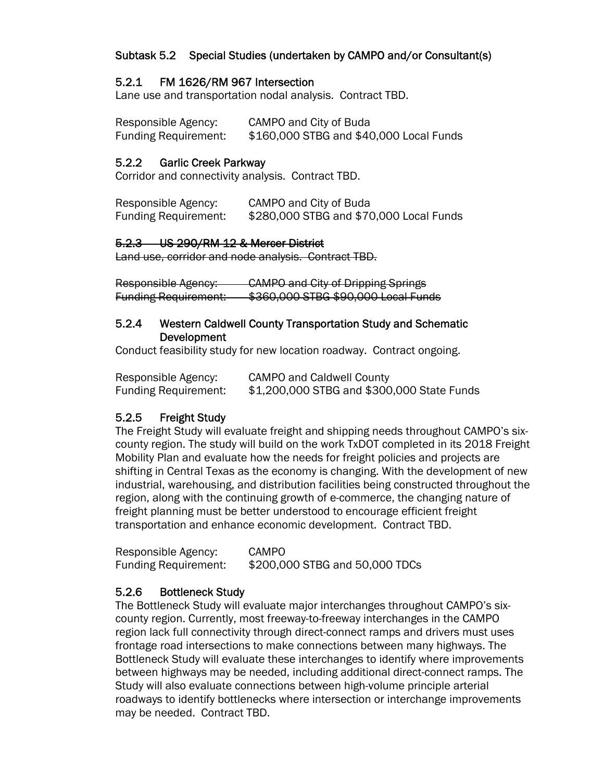# Subtask 5.2 Special Studies (undertaken by CAMPO and/or Consultant(s)

#### 5.2.1 FM 1626/RM 967 Intersection

Lane use and transportation nodal analysis. Contract TBD.

Responsible Agency: CAMPO and City of Buda Funding Requirement: \$160,000 STBG and \$40,000 Local Funds

#### 5.2.2 Garlic Creek Parkway

Corridor and connectivity analysis. Contract TBD.

Responsible Agency: CAMPO and City of Buda Funding Requirement: \$280,000 STBG and \$70,000 Local Funds

#### 5.2.3 US 290/RM 12 & Mercer District

Land use, corridor and node analysis. Contract TBD.

Responsible Agency: CAMPO and City of Dripping Springs Funding Requirement: \$360,000 STBG \$90,000 Local Funds

#### 5.2.4 Western Caldwell County Transportation Study and Schematic Development

Conduct feasibility study for new location roadway. Contract ongoing.

| Responsible Agency:         | <b>CAMPO and Caldwell County</b>           |
|-----------------------------|--------------------------------------------|
| <b>Funding Requirement:</b> | \$1,200,000 STBG and \$300,000 State Funds |

#### 5.2.5 Freight Study

The Freight Study will evaluate freight and shipping needs throughout CAMPO's sixcounty region. The study will build on the work TxDOT completed in its 2018 Freight Mobility Plan and evaluate how the needs for freight policies and projects are shifting in Central Texas as the economy is changing. With the development of new industrial, warehousing, and distribution facilities being constructed throughout the region, along with the continuing growth of e-commerce, the changing nature of freight planning must be better understood to encourage efficient freight transportation and enhance economic development. Contract TBD.

| Responsible Agency:         | <b>CAMPO</b>                   |
|-----------------------------|--------------------------------|
| <b>Funding Requirement:</b> | \$200,000 STBG and 50,000 TDCs |

#### 5.2.6 Bottleneck Study

The Bottleneck Study will evaluate major interchanges throughout CAMPO's sixcounty region. Currently, most freeway-to-freeway interchanges in the CAMPO region lack full connectivity through direct-connect ramps and drivers must uses frontage road intersections to make connections between many highways. The Bottleneck Study will evaluate these interchanges to identify where improvements between highways may be needed, including additional direct-connect ramps. The Study will also evaluate connections between high-volume principle arterial roadways to identify bottlenecks where intersection or interchange improvements may be needed. Contract TBD.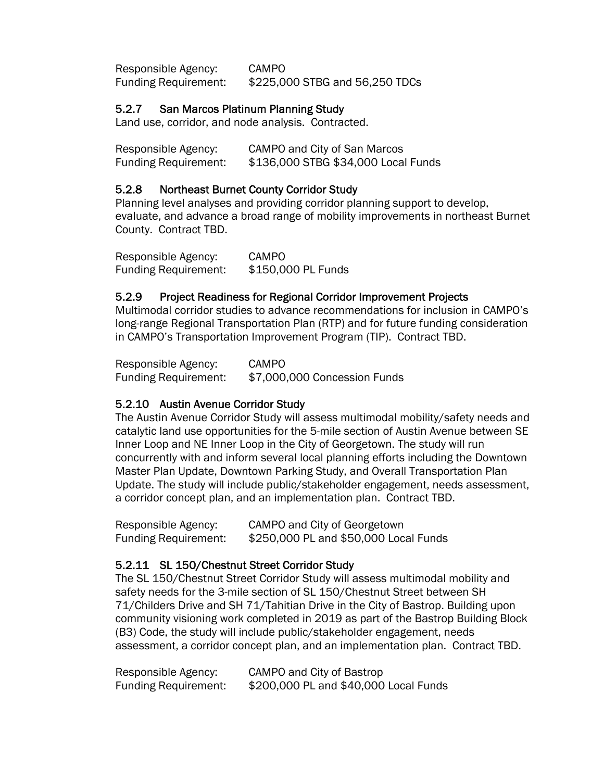Responsible Agency: CAMPO Funding Requirement: \$225,000 STBG and 56,250 TDCs

#### 5.2.7 San Marcos Platinum Planning Study

Land use, corridor, and node analysis. Contracted.

| Responsible Agency:         | CAMPO and City of San Marcos        |
|-----------------------------|-------------------------------------|
| <b>Funding Requirement:</b> | \$136,000 STBG \$34,000 Local Funds |

## 5.2.8 Northeast Burnet County Corridor Study

Planning level analyses and providing corridor planning support to develop, evaluate, and advance a broad range of mobility improvements in northeast Burnet County. Contract TBD.

Responsible Agency: CAMPO Funding Requirement: \$150,000 PL Funds

#### 5.2.9 Project Readiness for Regional Corridor Improvement Projects

Multimodal corridor studies to advance recommendations for inclusion in CAMPO's long-range Regional Transportation Plan (RTP) and for future funding consideration in CAMPO's Transportation Improvement Program (TIP). Contract TBD.

Responsible Agency: CAMPO Funding Requirement: \$7,000,000 Concession Funds

#### 5.2.10 Austin Avenue Corridor Study

The Austin Avenue Corridor Study will assess multimodal mobility/safety needs and catalytic land use opportunities for the 5-mile section of Austin Avenue between SE Inner Loop and NE Inner Loop in the City of Georgetown. The study will run concurrently with and inform several local planning efforts including the Downtown Master Plan Update, Downtown Parking Study, and Overall Transportation Plan Update. The study will include public/stakeholder engagement, needs assessment, a corridor concept plan, and an implementation plan. Contract TBD.

| Responsible Agency:         | CAMPO and City of Georgetown          |
|-----------------------------|---------------------------------------|
| <b>Funding Requirement:</b> | \$250,000 PL and \$50,000 Local Funds |

#### 5.2.11 SL 150/Chestnut Street Corridor Study

The SL 150/Chestnut Street Corridor Study will assess multimodal mobility and safety needs for the 3-mile section of SL 150/Chestnut Street between SH 71/Childers Drive and SH 71/Tahitian Drive in the City of Bastrop. Building upon community visioning work completed in 2019 as part of the Bastrop Building Block (B3) Code, the study will include public/stakeholder engagement, needs assessment, a corridor concept plan, and an implementation plan. Contract TBD.

| Responsible Agency:         | CAMPO and City of Bastrop             |
|-----------------------------|---------------------------------------|
| <b>Funding Requirement:</b> | \$200,000 PL and \$40,000 Local Funds |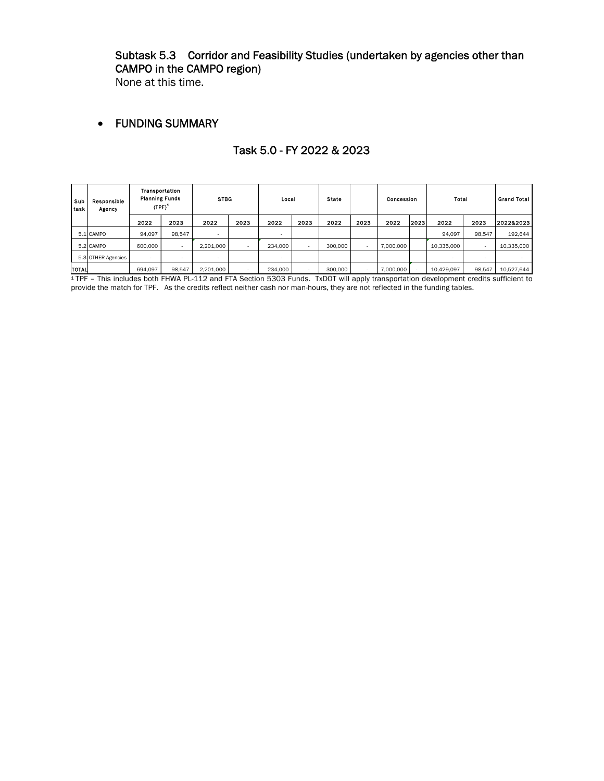## Subtask 5.3 Corridor and Feasibility Studies (undertaken by agencies other than CAMPO in the CAMPO region)

None at this time.

#### FUNDING SUMMARY

| Sub<br>task | Responsible<br>Agency | Transportation<br><b>Planning Funds</b><br>$(TPF)^2$ |                          | <b>STBG</b> |      | Local                    |                          | <b>State</b> |      | Concession |      | Total                    |        | <b>Grand Total</b> |
|-------------|-----------------------|------------------------------------------------------|--------------------------|-------------|------|--------------------------|--------------------------|--------------|------|------------|------|--------------------------|--------|--------------------|
|             |                       | 2022                                                 | 2023                     | 2022        | 2023 | 2022                     | 2023                     | 2022         | 2023 | 2022       | 2023 | 2022                     | 2023   | 2022&2023          |
|             | 5.1 CAMPO             | 94.097                                               | 98.547                   |             |      |                          |                          |              |      |            |      | 94.097                   | 98.547 | 192,644            |
|             | 5.2 CAMPO             | 600,000                                              | $\overline{\phantom{0}}$ | 2.201.000   | . .  | 234.000                  | $\overline{\phantom{a}}$ | 300,000      |      | 7.000.000  |      | 10,335,000               | . .    | 10,335,000         |
|             | 5.3 OTHER Agencies    |                                                      |                          | -           |      | $\overline{\phantom{a}}$ |                          |              |      |            |      | $\overline{\phantom{0}}$ |        |                    |
| TOTAL       |                       | 694,097                                              | 98,547                   | 2,201,000   | . .  | 234,000                  | $\overline{\phantom{a}}$ | 300,000      |      | 7,000,000  |      | 10,429,097               | 98,547 | 10,527,644         |

#### Task 5.0 - FY 2022 & 2023

 $1$ TPF – This includes both FHWA PL-112 and FTA Section 5303 Funds. TxDOT will apply transportation development credits sufficient to provide the match for TPF. As the credits reflect neither cash nor man-hours, they are not reflected in the funding tables.